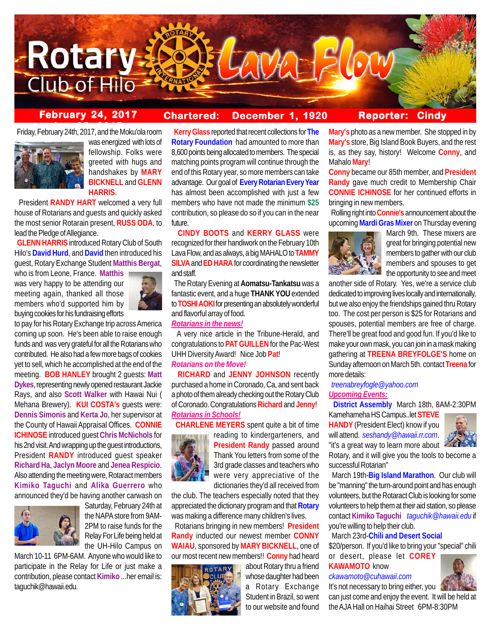

# **February 24, 2017 Chartered: December 1, 1920**

**Reporter: Cindy**

**ber 25, 2015** Friday, February 24th, 2017, and the Moku'ola room



was energized with lots of fellowship. Folks were greeted with hugs and handshakes by **MARY BICKNELL** and **GLENN HARRIS**.

 President **RANDY HART** welcomed a very full house of Rotarians and guests and quickly asked the most senior Rotarain present, **RUSS ODA**, to lead the Pledge of Allegiance.

 **GLENN HARRIS** introduced Rotary Club of South Hilo's **David Hurd**, and **David** then introduced his guest, Rotary Exchange Student **Matthis Bergat**,

who is from Leone, France. **Matthis** was very happy to be attending our meeting again, thanked all those members who'd supported him by buying cookies for his fundraising efforts



to pay for his Rotary Exchange trip across America coming up soon. He's been able to raise enough funds and was very grateful for all the Rotarians who contributed. He also had a few more bags of cookies yet to sell, which he accomplished at the end of the meeting. **BOB HANLEY** brought 2 guests: **Matt Dykes**, representing newly opened restaurant Jackie Rays, and also **Scott Walker** with Hawai Nui ( Mehana Brewery). **KUI COSTA's** guests were: **Dennis Simonis** and **Kerta Jo**, her supervisor at the County of Hawaii Appraisal Offices. **CONNIE ICHINOSE** introduced guest **Chris McNichols** for his 2nd visit. And wrapping up the guest introductions, President **RANDY** introduced guest speaker **Richard Ha**, **Jaclyn Moore** and **Jenea Respicio**. Also attending the meeting were, Rotaract members **Kimiko Taguchi** and **Alika Guerrero** who announced they'd be having another carwash on



Saturday, February 24th at the NAPA store from 9AM-2PM to raise funds for the Relay For Life being held at the UH-Hilo Campus on

March 10-11 6PM-6AM. Anyone who would like to participate in the Relay for Life or just make a contribution, please contact **Kimiko** ...her email is: taguchik@hawaii.edu.

 **Kerry Glass** reported that recent collections for **The Rotary Foundation** had amounted to more than 8,600 points being allocated to members. The special matching points program will continue through the end of this Rotary year, so more members can take advantage. Our goal of **Every Rotarian Every Year** has almost been accomplished with just a few members who have not made the minimum **\$25** contribution, so please do so if you can in the near future.

 **CINDY BOOTS** and **KERRY GLASS** were recognized for their handiwork on the February 10th Lava Flow, and as always, a big MAHALO to **TAMMY SILVA** and **ED HARA** for coordinating the newsletter and staff.

 The Rotary Evening at **Aomatsu-Tankatsu** was a fantastic event, and a huge **THANK YOU** extended to **TOSHI AOKI** for presenting an absolutely wonderful and flavorful array of food.

### *Rotarians in the news!*

 A very nice article in the Tribune-Herald, and congratulations to **PAT GUILLEN** for the Pac-West UHH Diversity Award! Nice Job **Pat**! *Rotarians on the Move!*

 **RICHARD** and **JENNY JOHNSON** recently purchased a home in Coronado, Ca, and sent back a photo of them already checking out the Rotary Club of Coronado. Congratulations **Richard** and **Jenny**! *Rotarians in Schools!*

**CHARLENE MEYERS** spent quite a bit of time



reading to kindergarteners, and **President Randy** passed around Thank You letters from some of the 3rd grade classes and teachers who were very appreciative of the dictionaries they'd all received from

the club. The teachers especially noted that they appreciated the dictionary program and that **Rotary** was making a difference many children's lives.

 Rotarians bringing in new members! **President Randy** inducted our newest member **CONNY WAIAU**, sponsored by **MARY BICKNELL**, one of our most recent new members!! **Conny** had heard



about Rotary thru a friend whose daughter had been a Rotary Exchange Student in Brazil, so went to our website and found

**Mary's** photo as a new member. She stopped in by **Mary's** store, Big Island Book Buyers, and the rest is, as they say, history! Welcome **Conny**, and Mahalo **Mary**!

**Conny** became our 85th member, and **President Randy** gave much credit to Membership Chair **CONNIE ICHINOSE** for her continued efforts in bringing in new members.

 Rolling right into **Connie's** announcement about the upcoming **Mardi Gras Mixer** on Thursday evening



March 9th. These mixers are great for bringing potential new members to gather with our club members and spouses to get the opportunity to see and meet

another side of Rotary. Yes, we're a service club dedicated to improving lives locally and internationally, but we also enjoy the friendships gained thru Rotary too. The cost per person is \$25 for Rotarians and spouses, potential members are free of charge. There'll be great food and good fun. If you'd like to make your own mask, you can join in a mask making gathering at **TREENA BREYFOLGE'S** home on Sunday afternoon on March 5th. contact **Treena** for more details:

## *treenabreyfogle@yahoo.com Upcoming Events:*

 **District Assembly** March 18th, 8AM-2:30PM

Kamehameha HS Campus..let **STEVE HANDY** (President Elect) know if you will attend. *seshandy@hawaii.rr.com*. "it's a great way to learn more about



Rotary, and it will give you the tools to become a successful Rotarian"

 March 19th-**Big Island Marathon**. Our club will be "manning" the turn-around point and has enough volunteers, but the Rotaract Club is looking for some volunteers to help them at their aid station, so please contact **Kimiko Taguchi** *taguchik@hawaii.edu* if you're willing to help their club.

March 23rd-**Chili and Desert Social**

\$20/person. If you'd like to bring your "special" chili or desert, please let **COREY**

**KAWAMOTO** know *ckawamoto@cuhawaii.com*



can just come and enjoy the event. It will be held at the AJA Hall on Haihai Street 6PM-8:30PM